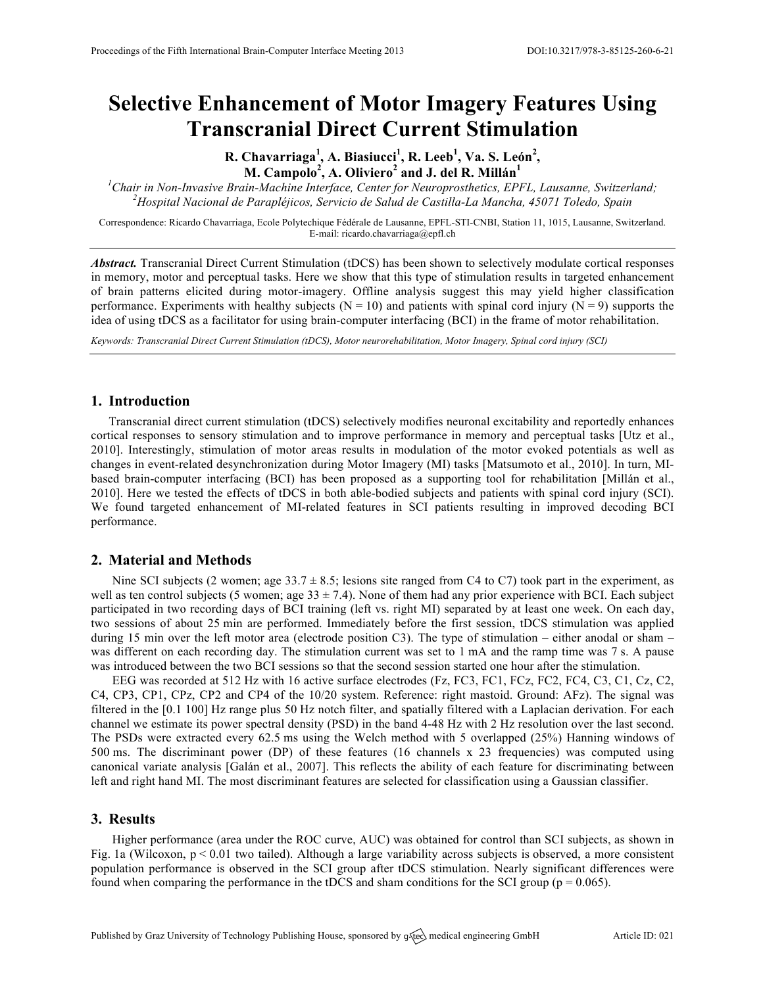# **Selective Enhancement of Motor Imagery Features Using Transcranial Direct Current Stimulation**

**R. Chavarriaga<sup>1</sup> , A. Biasiucci 1 , R. Leeb<sup>1</sup> , Va. S. León<sup>2</sup> , M. Campolo<sup>2</sup> , A. Oliviero<sup>2</sup> and J. del R. Millán<sup>1</sup>**

*1 Chair in Non-Invasive Brain-Machine Interface, Center for Neuroprosthetics, EPFL, Lausanne, Switzerland; <sup>2</sup> Hospital Nacional de Parapléjicos, Servicio de Salud de Castilla-La Mancha, 45071 Toledo, Spain*

Correspondence: Ricardo Chavarriaga, Ecole Polytechique Fédérale de Lausanne, EPFL-STI-CNBI, Station 11, 1015, Lausanne, Switzerland. E-mail: ricardo.chavarriaga@epfl.ch

*Abstract.* Transcranial Direct Current Stimulation (tDCS) has been shown to selectively modulate cortical responses in memory, motor and perceptual tasks. Here we show that this type of stimulation results in targeted enhancement of brain patterns elicited during motor-imagery. Offline analysis suggest this may yield higher classification performance. Experiments with healthy subjects ( $N = 10$ ) and patients with spinal cord injury ( $N = 9$ ) supports the idea of using tDCS as a facilitator for using brain-computer interfacing (BCI) in the frame of motor rehabilitation.

*Keywords: Transcranial Direct Current Stimulation (tDCS), Motor neurorehabilitation, Motor Imagery, Spinal cord injury (SCI)*

### **1. Introduction**

Transcranial direct current stimulation (tDCS) selectively modifies neuronal excitability and reportedly enhances cortical responses to sensory stimulation and to improve performance in memory and perceptual tasks [Utz et al., 2010]. Interestingly, stimulation of motor areas results in modulation of the motor evoked potentials as well as changes in event-related desynchronization during Motor Imagery (MI) tasks [Matsumoto et al., 2010]. In turn, MIbased brain-computer interfacing (BCI) has been proposed as a supporting tool for rehabilitation [Millán et al., 2010]. Here we tested the effects of tDCS in both able-bodied subjects and patients with spinal cord injury (SCI). We found targeted enhancement of MI-related features in SCI patients resulting in improved decoding BCI performance.

#### **2. Material and Methods**

Nine SCI subjects (2 women; age  $33.7 \pm 8.5$ ; lesions site ranged from C4 to C7) took part in the experiment, as well as ten control subjects (5 women; age  $33 \pm 7.4$ ). None of them had any prior experience with BCI. Each subject participated in two recording days of BCI training (left vs. right MI) separated by at least one week. On each day, two sessions of about 25 min are performed. Immediately before the first session, tDCS stimulation was applied during 15 min over the left motor area (electrode position C3). The type of stimulation – either anodal or sham – was different on each recording day. The stimulation current was set to 1 mA and the ramp time was 7 s. A pause was introduced between the two BCI sessions so that the second session started one hour after the stimulation.

EEG was recorded at 512 Hz with 16 active surface electrodes (Fz, FC3, FC1, FCz, FC2, FC4, C3, C1, Cz, C2, C4, CP3, CP1, CPz, CP2 and CP4 of the 10/20 system. Reference: right mastoid. Ground: AFz). The signal was filtered in the [0.1 100] Hz range plus 50 Hz notch filter, and spatially filtered with a Laplacian derivation. For each channel we estimate its power spectral density (PSD) in the band 4-48 Hz with 2 Hz resolution over the last second. The PSDs were extracted every 62.5 ms using the Welch method with 5 overlapped (25%) Hanning windows of 500 ms. The discriminant power (DP) of these features (16 channels x 23 frequencies) was computed using canonical variate analysis [Galán et al., 2007]. This reflects the ability of each feature for discriminating between left and right hand MI. The most discriminant features are selected for classification using a Gaussian classifier.

#### **3. Results**

Higher performance (area under the ROC curve, AUC) was obtained for control than SCI subjects, as shown in Fig. 1a (Wilcoxon,  $p < 0.01$  two tailed). Although a large variability across subjects is observed, a more consistent population performance is observed in the SCI group after tDCS stimulation. Nearly significant differences were found when comparing the performance in the tDCS and sham conditions for the SCI group ( $p = 0.065$ ).